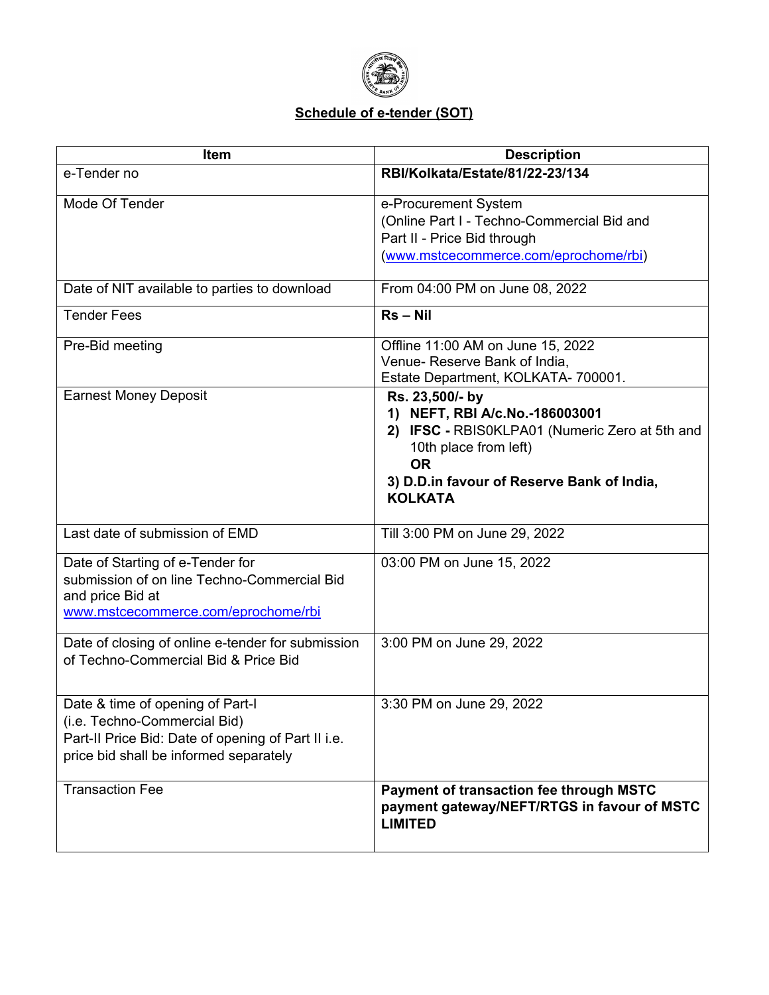

#### **Schedule of e-tender (SOT)**

| Item                                                                                                                                                             | <b>Description</b>                                                                                                                                                                                        |
|------------------------------------------------------------------------------------------------------------------------------------------------------------------|-----------------------------------------------------------------------------------------------------------------------------------------------------------------------------------------------------------|
| e-Tender no                                                                                                                                                      | RBI/Kolkata/Estate/81/22-23/134                                                                                                                                                                           |
| Mode Of Tender                                                                                                                                                   | e-Procurement System<br>(Online Part I - Techno-Commercial Bid and<br>Part II - Price Bid through<br>(www.mstcecommerce.com/eprochome/rbi)                                                                |
| Date of NIT available to parties to download                                                                                                                     | From 04:00 PM on June 08, 2022                                                                                                                                                                            |
| <b>Tender Fees</b>                                                                                                                                               | $Rs - Nil$                                                                                                                                                                                                |
| Pre-Bid meeting                                                                                                                                                  | Offline 11:00 AM on June 15, 2022<br>Venue- Reserve Bank of India,<br>Estate Department, KOLKATA- 700001.                                                                                                 |
| <b>Earnest Money Deposit</b>                                                                                                                                     | Rs. 23,500/- by<br>1) NEFT, RBI A/c.No.-186003001<br>2) IFSC - RBIS0KLPA01 (Numeric Zero at 5th and<br>10th place from left)<br><b>OR</b><br>3) D.D.in favour of Reserve Bank of India,<br><b>KOLKATA</b> |
| Last date of submission of EMD                                                                                                                                   | Till 3:00 PM on June 29, 2022                                                                                                                                                                             |
| Date of Starting of e-Tender for<br>submission of on line Techno-Commercial Bid<br>and price Bid at<br>www.mstcecommerce.com/eprochome/rbi                       | 03:00 PM on June 15, 2022                                                                                                                                                                                 |
| Date of closing of online e-tender for submission<br>of Techno-Commercial Bid & Price Bid                                                                        | 3:00 PM on June 29, 2022                                                                                                                                                                                  |
| Date & time of opening of Part-I<br>(i.e. Techno-Commercial Bid)<br>Part-II Price Bid: Date of opening of Part II i.e.<br>price bid shall be informed separately | 3:30 PM on June 29, 2022                                                                                                                                                                                  |
| <b>Transaction Fee</b>                                                                                                                                           | Payment of transaction fee through MSTC<br>payment gateway/NEFT/RTGS in favour of MSTC<br><b>LIMITED</b>                                                                                                  |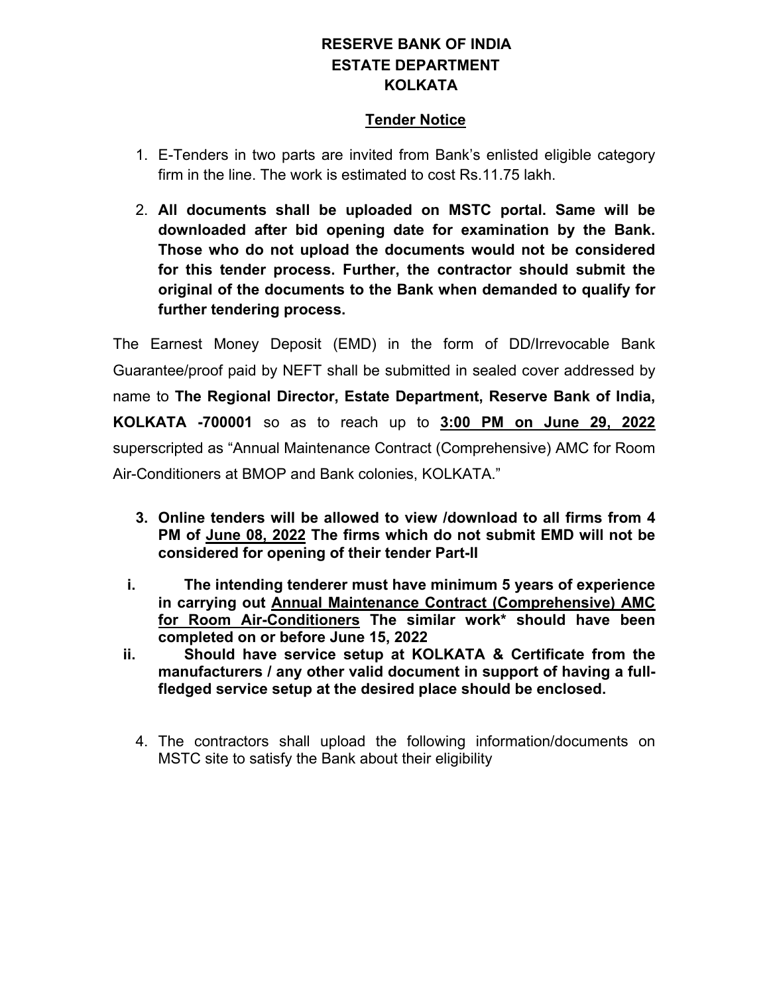#### **RESERVE BANK OF INDIA ESTATE DEPARTMENT KOLKATA**

#### **Tender Notice**

- 1. E-Tenders in two parts are invited from Bank's enlisted eligible category firm in the line. The work is estimated to cost Rs.11.75 lakh.
- 2. **All documents shall be uploaded on MSTC portal. Same will be downloaded after bid opening date for examination by the Bank. Those who do not upload the documents would not be considered for this tender process. Further, the contractor should submit the original of the documents to the Bank when demanded to qualify for further tendering process.**

The Earnest Money Deposit (EMD) in the form of DD/Irrevocable Bank Guarantee/proof paid by NEFT shall be submitted in sealed cover addressed by name to **The Regional Director, Estate Department, Reserve Bank of India, KOLKATA -700001** so as to reach up to **3:00 PM on June 29, 2022** superscripted as "Annual Maintenance Contract (Comprehensive) AMC for Room Air-Conditioners at BMOP and Bank colonies, KOLKATA."

- **3. Online tenders will be allowed to view /download to all firms from 4 PM of June 08, 2022 The firms which do not submit EMD will not be considered for opening of their tender Part-II**
- **i. The intending tenderer must have minimum 5 years of experience in carrying out Annual Maintenance Contract (Comprehensive) AMC for Room Air-Conditioners The similar work\* should have been completed on or before June 15, 2022**
- **ii. Should have service setup at KOLKATA & Certificate from the manufacturers / any other valid document in support of having a fullfledged service setup at the desired place should be enclosed.**
	- 4. The contractors shall upload the following information/documents on MSTC site to satisfy the Bank about their eligibility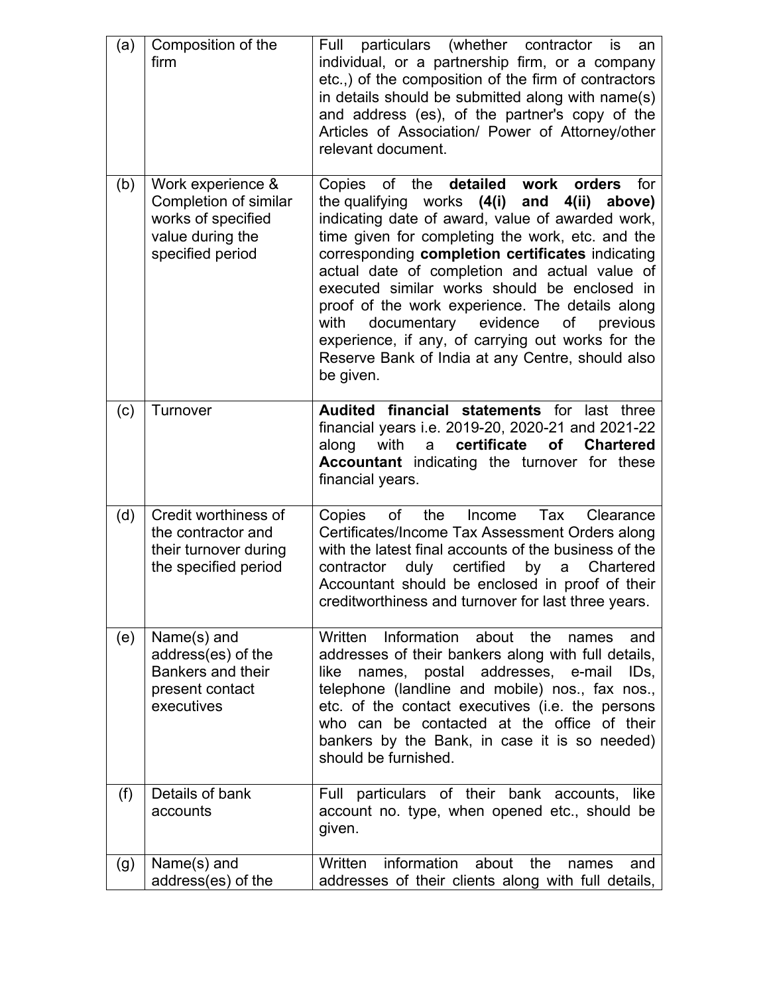| (a) | Composition of the<br>firm                                                                               | Full particulars (whether contractor<br>is<br>an<br>individual, or a partnership firm, or a company<br>etc.,) of the composition of the firm of contractors<br>in details should be submitted along with name(s)<br>and address (es), of the partner's copy of the<br>Articles of Association/ Power of Attorney/other<br>relevant document.                                                                                                                                                                                                                                                    |
|-----|----------------------------------------------------------------------------------------------------------|-------------------------------------------------------------------------------------------------------------------------------------------------------------------------------------------------------------------------------------------------------------------------------------------------------------------------------------------------------------------------------------------------------------------------------------------------------------------------------------------------------------------------------------------------------------------------------------------------|
| (b) | Work experience &<br>Completion of similar<br>works of specified<br>value during the<br>specified period | detailed work<br>of the<br>orders<br>for<br>Copies<br>the qualifying<br>works (4(i) and<br>4(ii) above)<br>indicating date of award, value of awarded work,<br>time given for completing the work, etc. and the<br>corresponding completion certificates indicating<br>actual date of completion and actual value of<br>executed similar works should be enclosed in<br>proof of the work experience. The details along<br>documentary evidence<br>with<br>of<br>previous<br>experience, if any, of carrying out works for the<br>Reserve Bank of India at any Centre, should also<br>be given. |
| (c) | Turnover                                                                                                 | Audited financial statements for last three<br>financial years i.e. 2019-20, 2020-21 and 2021-22<br>certificate<br>along<br>with<br>of<br><b>Chartered</b><br>a<br><b>Accountant</b> indicating the turnover for these<br>financial years.                                                                                                                                                                                                                                                                                                                                                      |
| (d) | Credit worthiness of<br>the contractor and<br>their turnover during<br>the specified period              | the<br>of<br>Tax<br>Clearance<br>Copies<br>Income<br>Certificates/Income Tax Assessment Orders along<br>with the latest final accounts of the business of the<br>duly certified<br>contractor<br>by<br>Chartered<br>a<br>Accountant should be enclosed in proof of their<br>creditworthiness and turnover for last three years.                                                                                                                                                                                                                                                                 |
| (e) | Name(s) and<br>address(es) of the<br>Bankers and their<br>present contact<br>executives                  | Information about<br>the<br>Written<br>names<br>and<br>addresses of their bankers along with full details,<br>names, postal addresses, e-mail<br>like<br>IDs,<br>telephone (landline and mobile) nos., fax nos.,<br>etc. of the contact executives (i.e. the persons<br>who can be contacted at the office of their<br>bankers by the Bank, in case it is so needed)<br>should be furnished.                                                                                                                                                                                                    |
| (f) | Details of bank<br>accounts                                                                              | Full particulars of their bank accounts, like<br>account no. type, when opened etc., should be<br>given.                                                                                                                                                                                                                                                                                                                                                                                                                                                                                        |
| (g) | Name(s) and<br>address(es) of the                                                                        | information<br>about<br>the<br>Written<br>names<br>and<br>addresses of their clients along with full details,                                                                                                                                                                                                                                                                                                                                                                                                                                                                                   |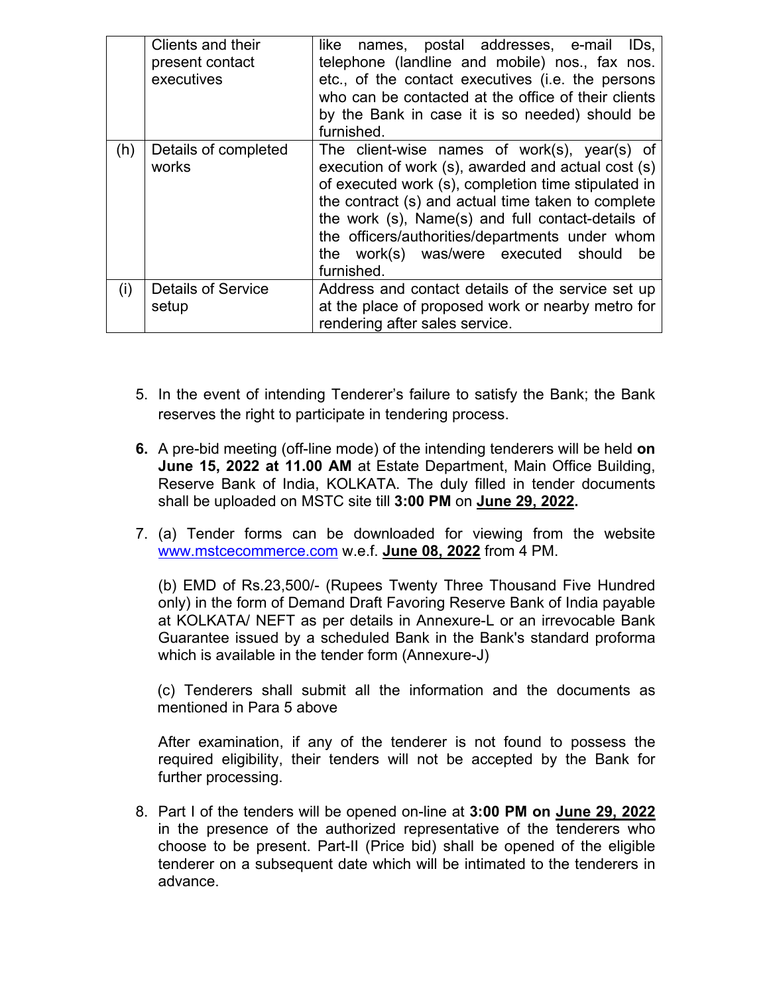|     | Clients and their<br>present contact<br>executives | like names, postal addresses, e-mail IDs,<br>telephone (landline and mobile) nos., fax nos.<br>etc., of the contact executives (i.e. the persons<br>who can be contacted at the office of their clients<br>by the Bank in case it is so needed) should be<br>furnished.                                                                                                             |
|-----|----------------------------------------------------|-------------------------------------------------------------------------------------------------------------------------------------------------------------------------------------------------------------------------------------------------------------------------------------------------------------------------------------------------------------------------------------|
| (h) | Details of completed<br>works                      | The client-wise names of work(s), year(s) of<br>execution of work (s), awarded and actual cost (s)<br>of executed work (s), completion time stipulated in<br>the contract (s) and actual time taken to complete<br>the work (s), Name(s) and full contact-details of<br>the officers/authorities/departments under whom<br>the work(s) was/were executed should<br>be<br>furnished. |
| (i) | <b>Details of Service</b><br>setup                 | Address and contact details of the service set up<br>at the place of proposed work or nearby metro for<br>rendering after sales service.                                                                                                                                                                                                                                            |

- 5. In the event of intending Tenderer's failure to satisfy the Bank; the Bank reserves the right to participate in tendering process.
- **6.** A pre-bid meeting (off-line mode) of the intending tenderers will be held **on June 15, 2022 at 11.00 AM** at Estate Department, Main Office Building, Reserve Bank of India, KOLKATA. The duly filled in tender documents shall be uploaded on MSTC site till **3:00 PM** on **June 29, 2022.**
- 7. (a) Tender forms can be downloaded for viewing from the website [www.mstcecommerce.com](https://www.mstcecommerce.com/) w.e.f. **June 08, 2022** from 4 PM.

(b) EMD of Rs.23,500/- (Rupees Twenty Three Thousand Five Hundred only) in the form of Demand Draft Favoring Reserve Bank of India payable at KOLKATA/ NEFT as per details in Annexure-L or an irrevocable Bank Guarantee issued by a scheduled Bank in the Bank's standard proforma which is available in the tender form (Annexure-J)

(c) Tenderers shall submit all the information and the documents as mentioned in Para 5 above

After examination, if any of the tenderer is not found to possess the required eligibility, their tenders will not be accepted by the Bank for further processing.

8. Part I of the tenders will be opened on-line at **3:00 PM on June 29, 2022** in the presence of the authorized representative of the tenderers who choose to be present. Part-II (Price bid) shall be opened of the eligible tenderer on a subsequent date which will be intimated to the tenderers in advance.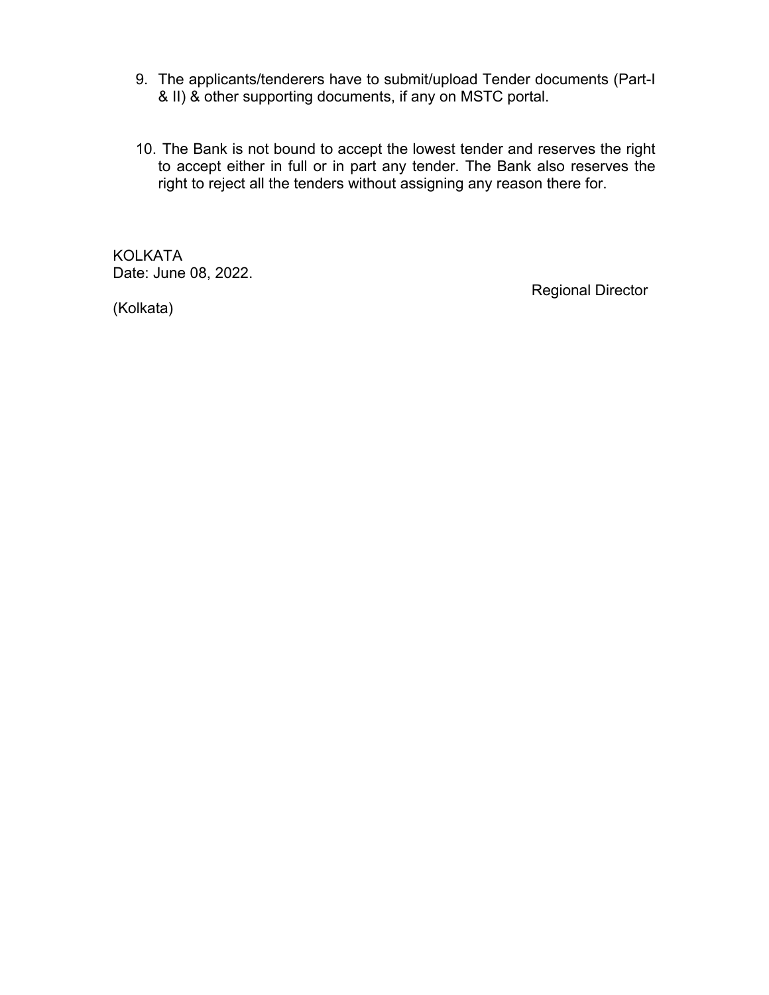- 9. The applicants/tenderers have to submit/upload Tender documents (Part-I & II) & other supporting documents, if any on MSTC portal.
- 10. The Bank is not bound to accept the lowest tender and reserves the right to accept either in full or in part any tender. The Bank also reserves the right to reject all the tenders without assigning any reason there for.

KOLKATA Date: June 08, 2022.

(Kolkata)

Regional Director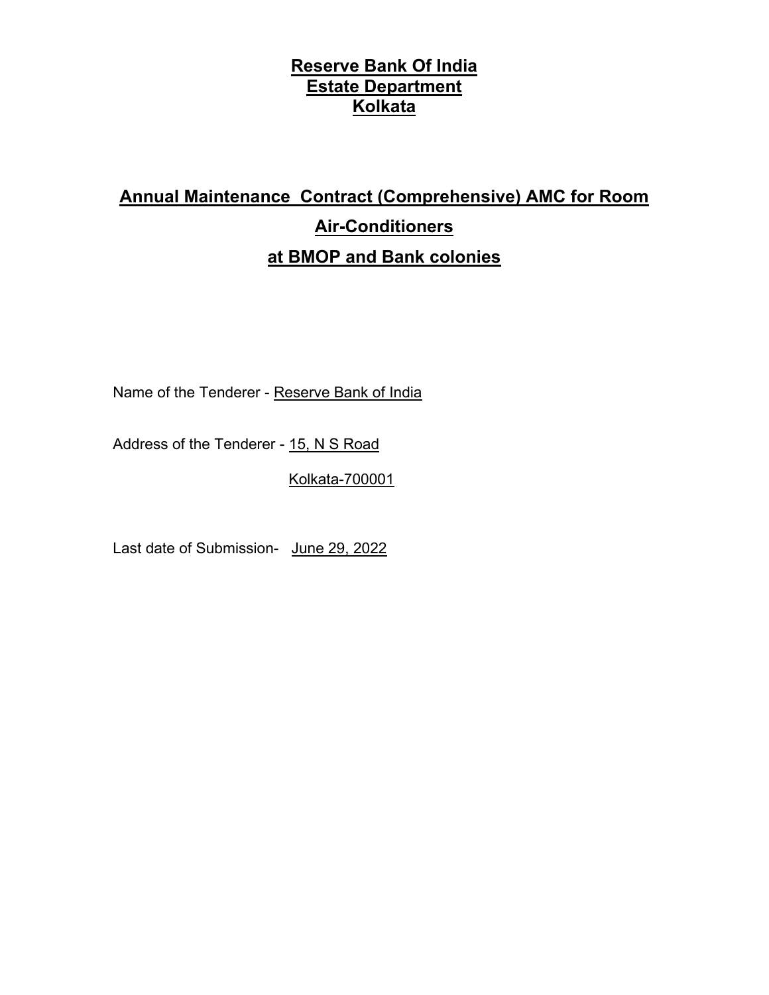# **Annual Maintenance Contract (Comprehensive) AMC for Room Air-Conditioners at BMOP and Bank colonies**

Name of the Tenderer - Reserve Bank of India

Address of the Tenderer - 15, N S Road

Kolkata-700001

Last date of Submission- June 29, 2022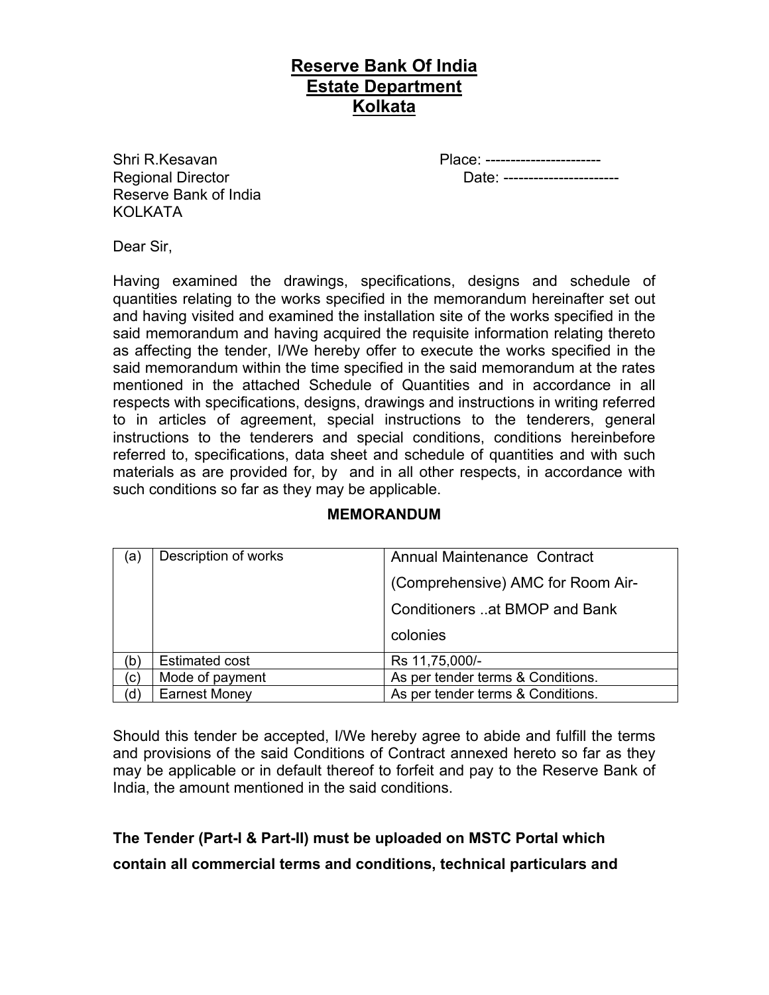Regional Director Date: ----------------------- Reserve Bank of India KOI KATA

Shri R.Kesavan **Place: -----------------------**

Dear Sir,

Having examined the drawings, specifications, designs and schedule of quantities relating to the works specified in the memorandum hereinafter set out and having visited and examined the installation site of the works specified in the said memorandum and having acquired the requisite information relating thereto as affecting the tender, I/We hereby offer to execute the works specified in the said memorandum within the time specified in the said memorandum at the rates mentioned in the attached Schedule of Quantities and in accordance in all respects with specifications, designs, drawings and instructions in writing referred to in articles of agreement, special instructions to the tenderers, general instructions to the tenderers and special conditions, conditions hereinbefore referred to, specifications, data sheet and schedule of quantities and with such materials as are provided for, by and in all other respects, in accordance with such conditions so far as they may be applicable.

| (a) | Description of works  | <b>Annual Maintenance Contract</b>   |  |  |
|-----|-----------------------|--------------------------------------|--|--|
|     |                       | (Comprehensive) AMC for Room Air-    |  |  |
|     |                       | <b>Conditioners at BMOP and Bank</b> |  |  |
|     |                       | colonies                             |  |  |
| (b  | <b>Estimated cost</b> | Rs 11,75,000/-                       |  |  |
| (c) | Mode of payment       | As per tender terms & Conditions.    |  |  |
| (d  | <b>Earnest Money</b>  | As per tender terms & Conditions.    |  |  |

#### **MEMORANDUM**

Should this tender be accepted, I/We hereby agree to abide and fulfill the terms and provisions of the said Conditions of Contract annexed hereto so far as they may be applicable or in default thereof to forfeit and pay to the Reserve Bank of India, the amount mentioned in the said conditions.

**The Tender (Part-I & Part-II) must be uploaded on MSTC Portal which contain all commercial terms and conditions, technical particulars and**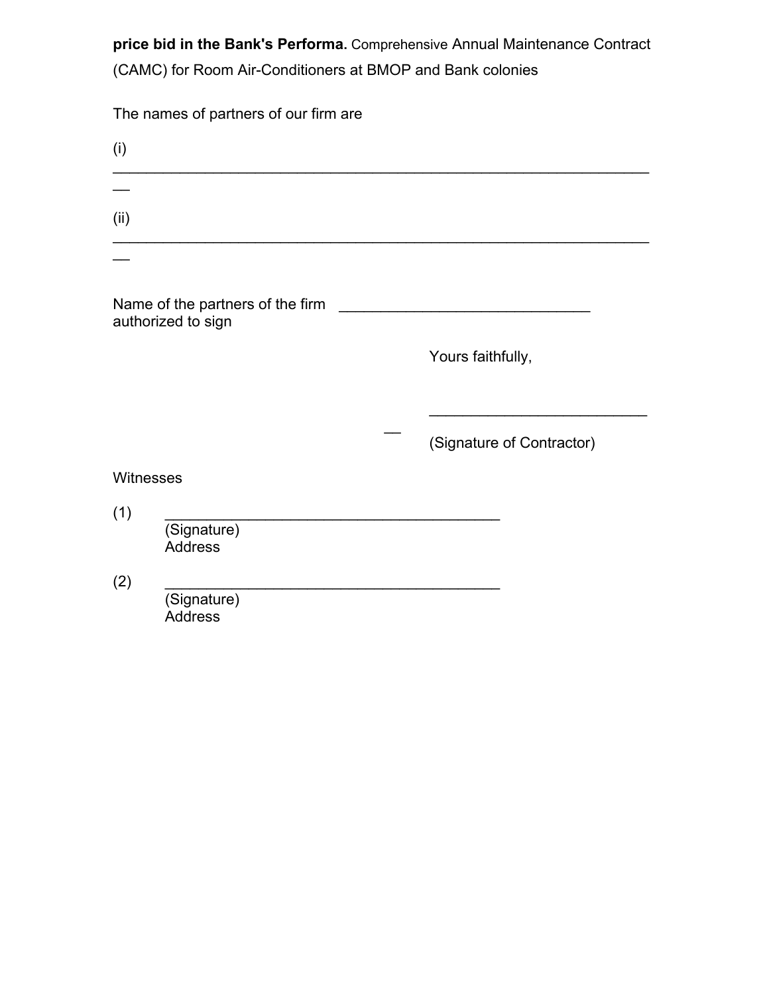**price bid in the Bank's Performa.** Comprehensive Annual Maintenance Contract (CAMC) for Room Air-Conditioners at BMOP and Bank colonies

The names of partners of our firm are

| (i)       |                                                        |                           |
|-----------|--------------------------------------------------------|---------------------------|
| (ii)      |                                                        |                           |
|           |                                                        |                           |
|           | Name of the partners of the firm<br>authorized to sign |                           |
|           |                                                        | Yours faithfully,         |
|           |                                                        |                           |
|           |                                                        | (Signature of Contractor) |
| Witnesses |                                                        |                           |
| (1)       | (Signature)<br><b>Address</b>                          |                           |
| (2)       | (Signature)<br><b>Address</b>                          |                           |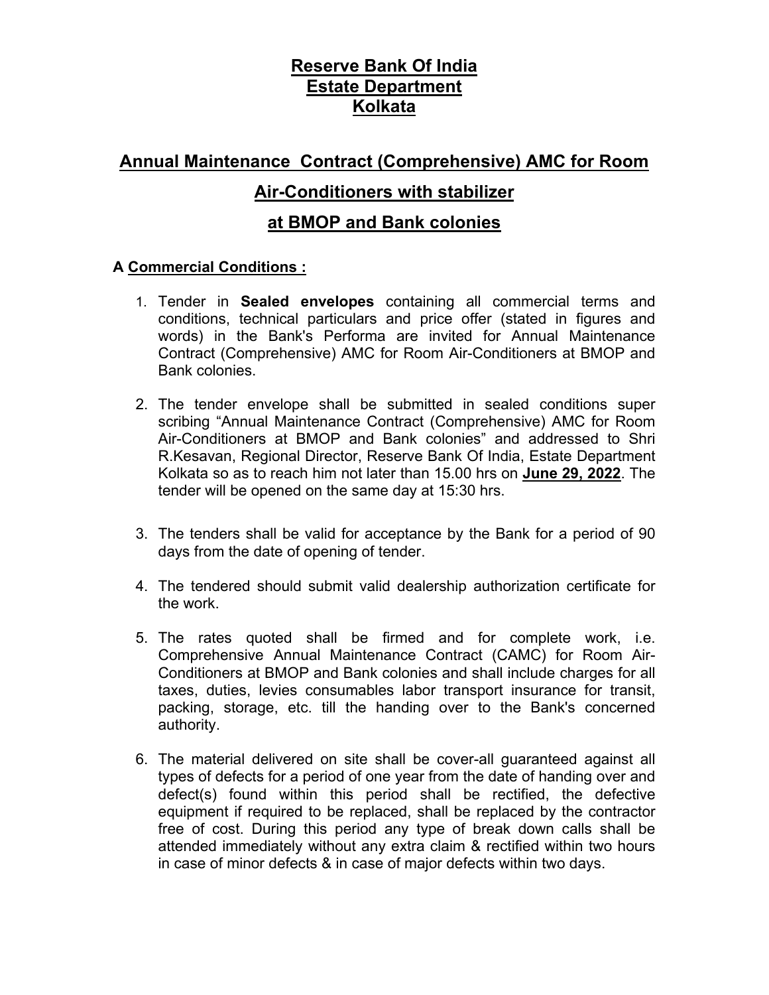## **Annual Maintenance Contract (Comprehensive) AMC for Room**

#### **Air-Conditioners with stabilizer**

#### **at BMOP and Bank colonies**

#### **A Commercial Conditions :**

- 1. Tender in **Sealed envelopes** containing all commercial terms and conditions, technical particulars and price offer (stated in figures and words) in the Bank's Performa are invited for Annual Maintenance Contract (Comprehensive) AMC for Room Air-Conditioners at BMOP and Bank colonies.
- 2. The tender envelope shall be submitted in sealed conditions super scribing "Annual Maintenance Contract (Comprehensive) AMC for Room Air-Conditioners at BMOP and Bank colonies" and addressed to Shri R.Kesavan, Regional Director, Reserve Bank Of India, Estate Department Kolkata so as to reach him not later than 15.00 hrs on **June 29, 2022**. The tender will be opened on the same day at 15:30 hrs.
- 3. The tenders shall be valid for acceptance by the Bank for a period of 90 days from the date of opening of tender.
- 4. The tendered should submit valid dealership authorization certificate for the work.
- 5. The rates quoted shall be firmed and for complete work, i.e. Comprehensive Annual Maintenance Contract (CAMC) for Room Air-Conditioners at BMOP and Bank colonies and shall include charges for all taxes, duties, levies consumables labor transport insurance for transit, packing, storage, etc. till the handing over to the Bank's concerned authority.
- 6. The material delivered on site shall be cover-all guaranteed against all types of defects for a period of one year from the date of handing over and defect(s) found within this period shall be rectified, the defective equipment if required to be replaced, shall be replaced by the contractor free of cost. During this period any type of break down calls shall be attended immediately without any extra claim & rectified within two hours in case of minor defects & in case of major defects within two days.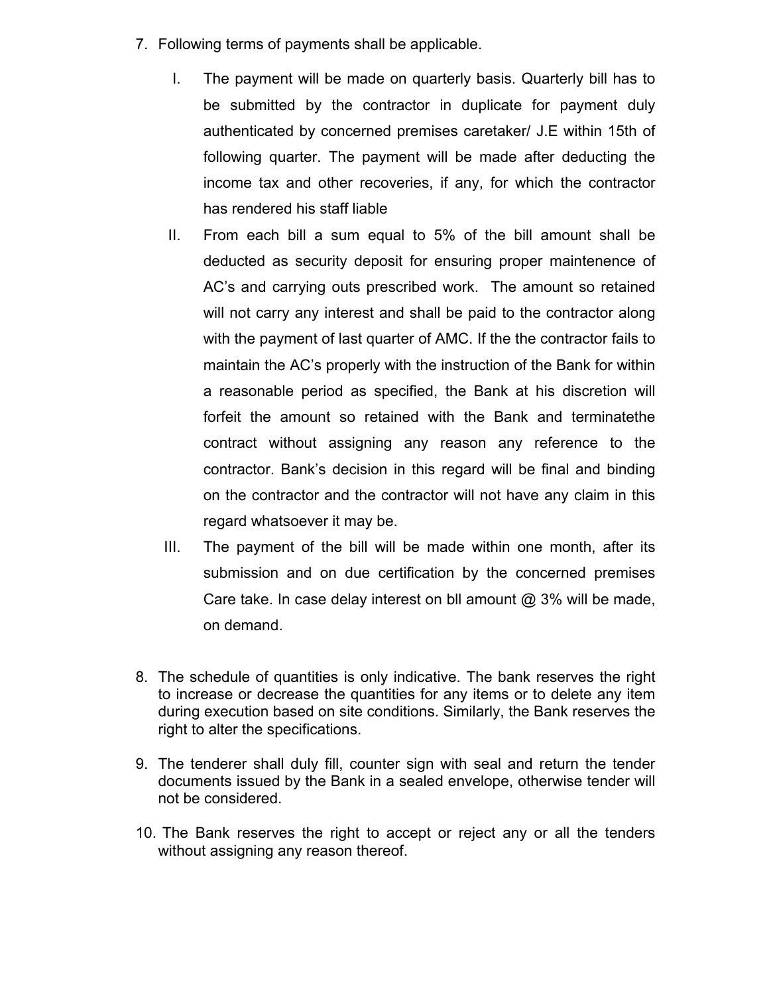- 7. Following terms of payments shall be applicable.
	- I. The payment will be made on quarterly basis. Quarterly bill has to be submitted by the contractor in duplicate for payment duly authenticated by concerned premises caretaker/ J.E within 15th of following quarter. The payment will be made after deducting the income tax and other recoveries, if any, for which the contractor has rendered his staff liable
	- II. From each bill a sum equal to 5% of the bill amount shall be deducted as security deposit for ensuring proper maintenence of AC's and carrying outs prescribed work. The amount so retained will not carry any interest and shall be paid to the contractor along with the payment of last quarter of AMC. If the the contractor fails to maintain the AC's properly with the instruction of the Bank for within a reasonable period as specified, the Bank at his discretion will forfeit the amount so retained with the Bank and terminatethe contract without assigning any reason any reference to the contractor. Bank's decision in this regard will be final and binding on the contractor and the contractor will not have any claim in this regard whatsoever it may be.
	- III. The payment of the bill will be made within one month, after its submission and on due certification by the concerned premises Care take. In case delay interest on bll amount  $@3\%$  will be made, on demand.
- 8. The schedule of quantities is only indicative. The bank reserves the right to increase or decrease the quantities for any items or to delete any item during execution based on site conditions. Similarly, the Bank reserves the right to alter the specifications.
- 9. The tenderer shall duly fill, counter sign with seal and return the tender documents issued by the Bank in a sealed envelope, otherwise tender will not be considered.
- 10. The Bank reserves the right to accept or reject any or all the tenders without assigning any reason thereof.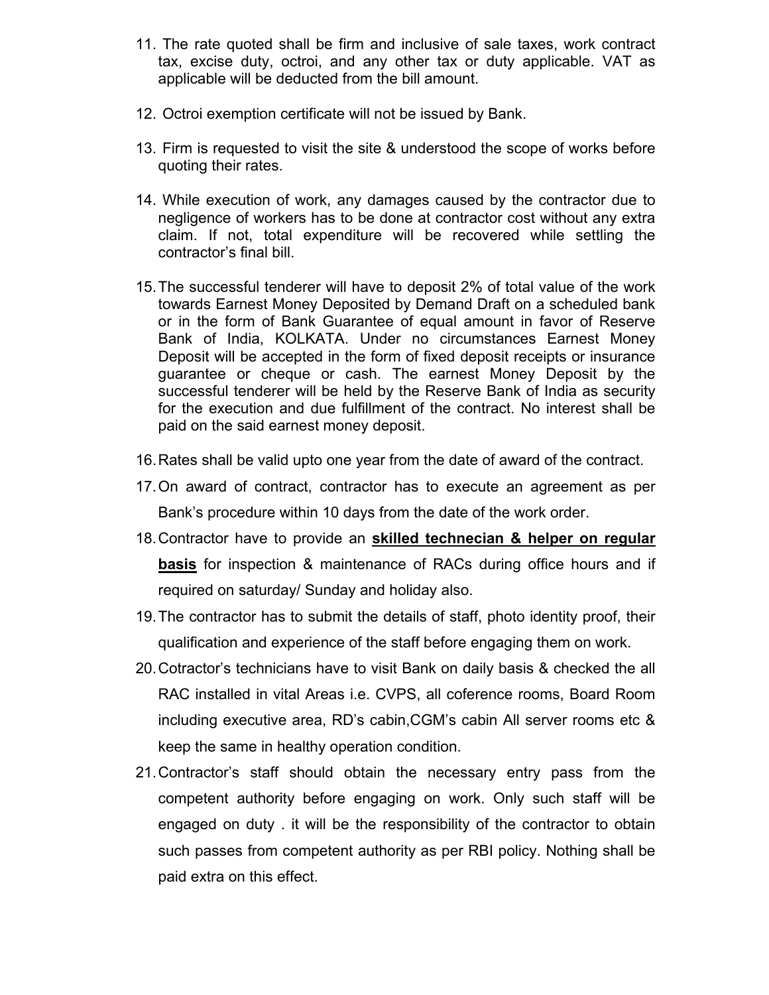- 11. The rate quoted shall be firm and inclusive of sale taxes, work contract tax, excise duty, octroi, and any other tax or duty applicable. VAT as applicable will be deducted from the bill amount.
- 12. Octroi exemption certificate will not be issued by Bank.
- 13. Firm is requested to visit the site & understood the scope of works before quoting their rates.
- 14. While execution of work, any damages caused by the contractor due to negligence of workers has to be done at contractor cost without any extra claim. If not, total expenditure will be recovered while settling the contractor's final bill.
- 15.The successful tenderer will have to deposit 2% of total value of the work towards Earnest Money Deposited by Demand Draft on a scheduled bank or in the form of Bank Guarantee of equal amount in favor of Reserve Bank of India, KOLKATA. Under no circumstances Earnest Money Deposit will be accepted in the form of fixed deposit receipts or insurance guarantee or cheque or cash. The earnest Money Deposit by the successful tenderer will be held by the Reserve Bank of India as security for the execution and due fulfillment of the contract. No interest shall be paid on the said earnest money deposit.
- 16.Rates shall be valid upto one year from the date of award of the contract.
- 17.On award of contract, contractor has to execute an agreement as per Bank's procedure within 10 days from the date of the work order.
- 18.Contractor have to provide an **skilled technecian & helper on regular basis** for inspection & maintenance of RACs during office hours and if required on saturday/ Sunday and holiday also.
- 19.The contractor has to submit the details of staff, photo identity proof, their qualification and experience of the staff before engaging them on work.
- 20.Cotractor's technicians have to visit Bank on daily basis & checked the all RAC installed in vital Areas i.e. CVPS, all coference rooms, Board Room including executive area, RD's cabin,CGM's cabin All server rooms etc & keep the same in healthy operation condition.
- 21.Contractor's staff should obtain the necessary entry pass from the competent authority before engaging on work. Only such staff will be engaged on duty . it will be the responsibility of the contractor to obtain such passes from competent authority as per RBI policy. Nothing shall be paid extra on this effect.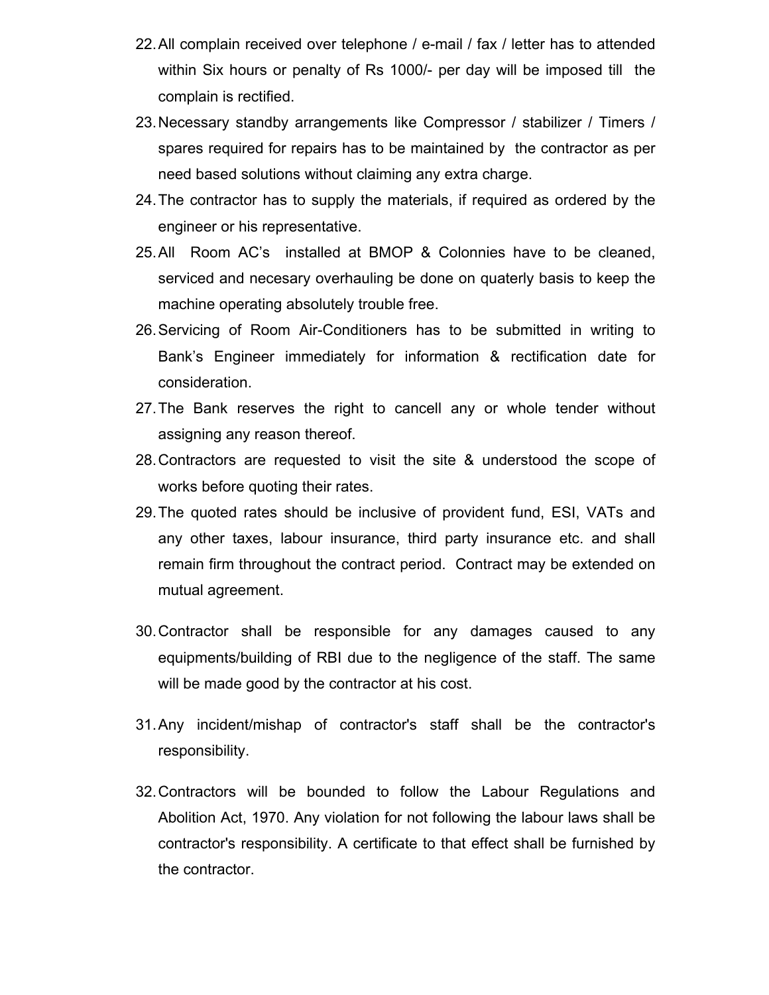- 22.All complain received over telephone / e-mail / fax / letter has to attended within Six hours or penalty of Rs 1000/- per day will be imposed till the complain is rectified.
- 23.Necessary standby arrangements like Compressor / stabilizer / Timers / spares required for repairs has to be maintained by the contractor as per need based solutions without claiming any extra charge.
- 24.The contractor has to supply the materials, if required as ordered by the engineer or his representative.
- 25.All Room AC's installed at BMOP & Colonnies have to be cleaned, serviced and necesary overhauling be done on quaterly basis to keep the machine operating absolutely trouble free.
- 26.Servicing of Room Air-Conditioners has to be submitted in writing to Bank's Engineer immediately for information & rectification date for consideration.
- 27.The Bank reserves the right to cancell any or whole tender without assigning any reason thereof.
- 28.Contractors are requested to visit the site & understood the scope of works before quoting their rates.
- 29.The quoted rates should be inclusive of provident fund, ESI, VATs and any other taxes, labour insurance, third party insurance etc. and shall remain firm throughout the contract period. Contract may be extended on mutual agreement.
- 30.Contractor shall be responsible for any damages caused to any equipments/building of RBI due to the negligence of the staff. The same will be made good by the contractor at his cost.
- 31.Any incident/mishap of contractor's staff shall be the contractor's responsibility.
- 32.Contractors will be bounded to follow the Labour Regulations and Abolition Act, 1970. Any violation for not following the labour laws shall be contractor's responsibility. A certificate to that effect shall be furnished by the contractor.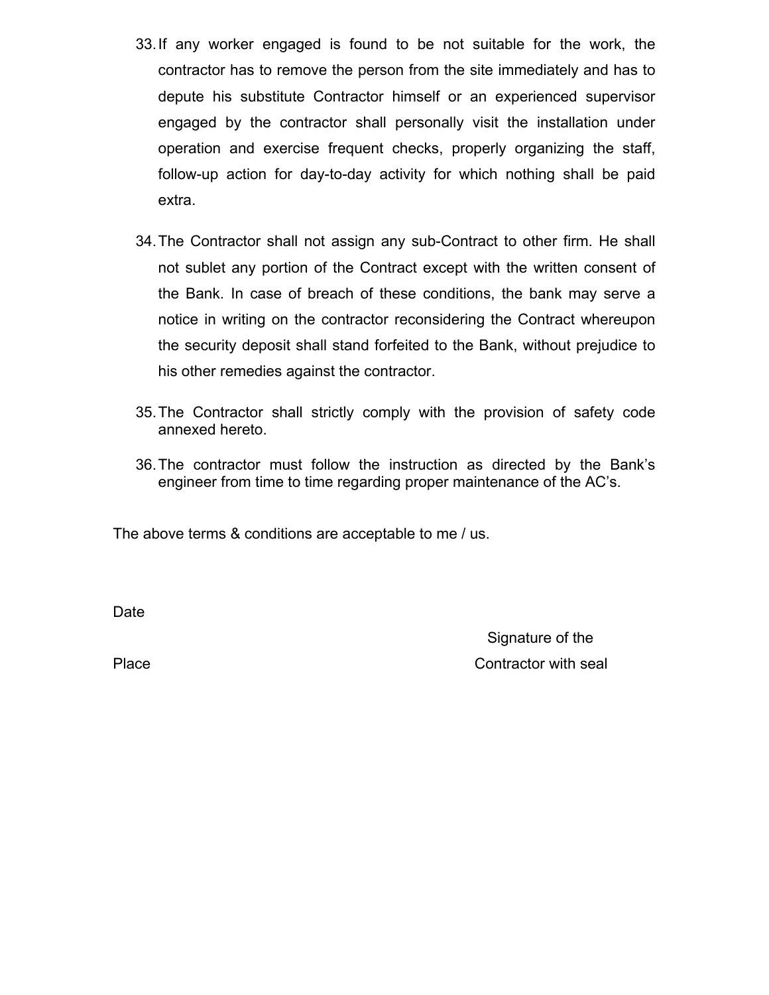- 33.If any worker engaged is found to be not suitable for the work, the contractor has to remove the person from the site immediately and has to depute his substitute Contractor himself or an experienced supervisor engaged by the contractor shall personally visit the installation under operation and exercise frequent checks, properly organizing the staff, follow-up action for day-to-day activity for which nothing shall be paid extra.
- 34.The Contractor shall not assign any sub-Contract to other firm. He shall not sublet any portion of the Contract except with the written consent of the Bank. In case of breach of these conditions, the bank may serve a notice in writing on the contractor reconsidering the Contract whereupon the security deposit shall stand forfeited to the Bank, without prejudice to his other remedies against the contractor.
- 35.The Contractor shall strictly comply with the provision of safety code annexed hereto.
- 36.The contractor must follow the instruction as directed by the Bank's engineer from time to time regarding proper maintenance of the AC's.

The above terms & conditions are acceptable to me / us.

Date

 Signature of the Place **Contractor** with seal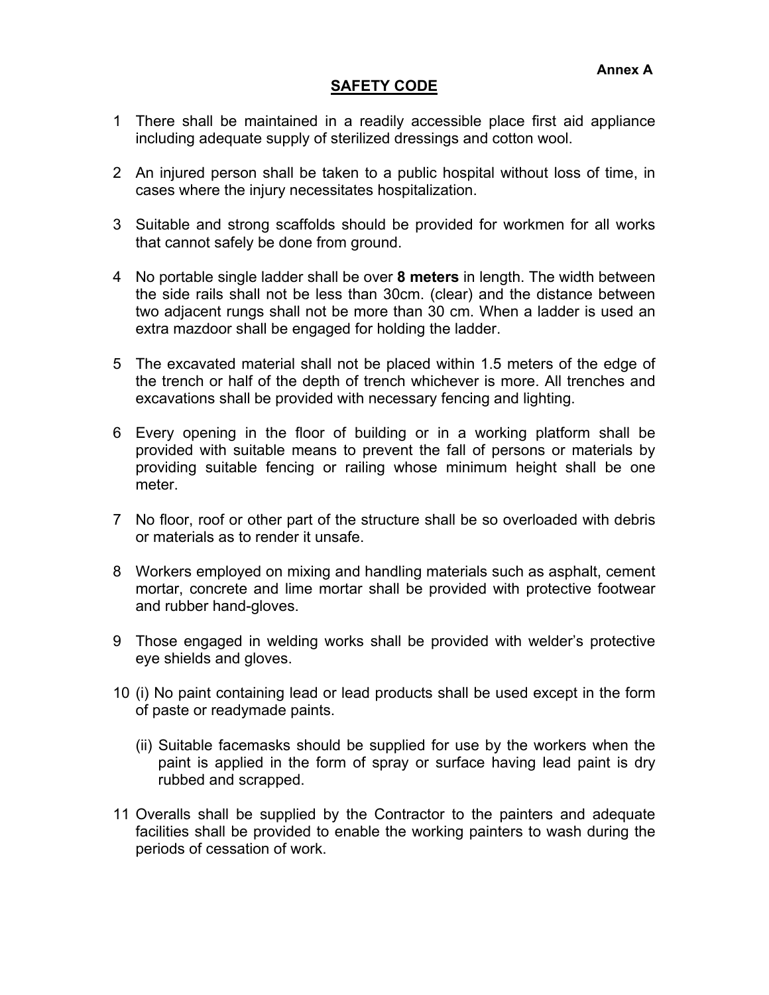#### **SAFETY CODE**

- 1 There shall be maintained in a readily accessible place first aid appliance including adequate supply of sterilized dressings and cotton wool.
- 2 An injured person shall be taken to a public hospital without loss of time, in cases where the injury necessitates hospitalization.
- 3 Suitable and strong scaffolds should be provided for workmen for all works that cannot safely be done from ground.
- 4 No portable single ladder shall be over **8 meters** in length. The width between the side rails shall not be less than 30cm. (clear) and the distance between two adjacent rungs shall not be more than 30 cm. When a ladder is used an extra mazdoor shall be engaged for holding the ladder.
- 5 The excavated material shall not be placed within 1.5 meters of the edge of the trench or half of the depth of trench whichever is more. All trenches and excavations shall be provided with necessary fencing and lighting.
- 6 Every opening in the floor of building or in a working platform shall be provided with suitable means to prevent the fall of persons or materials by providing suitable fencing or railing whose minimum height shall be one meter.
- 7 No floor, roof or other part of the structure shall be so overloaded with debris or materials as to render it unsafe.
- 8 Workers employed on mixing and handling materials such as asphalt, cement mortar, concrete and lime mortar shall be provided with protective footwear and rubber hand-gloves.
- 9 Those engaged in welding works shall be provided with welder's protective eye shields and gloves.
- 10 (i) No paint containing lead or lead products shall be used except in the form of paste or readymade paints.
	- (ii) Suitable facemasks should be supplied for use by the workers when the paint is applied in the form of spray or surface having lead paint is dry rubbed and scrapped.
- 11 Overalls shall be supplied by the Contractor to the painters and adequate facilities shall be provided to enable the working painters to wash during the periods of cessation of work.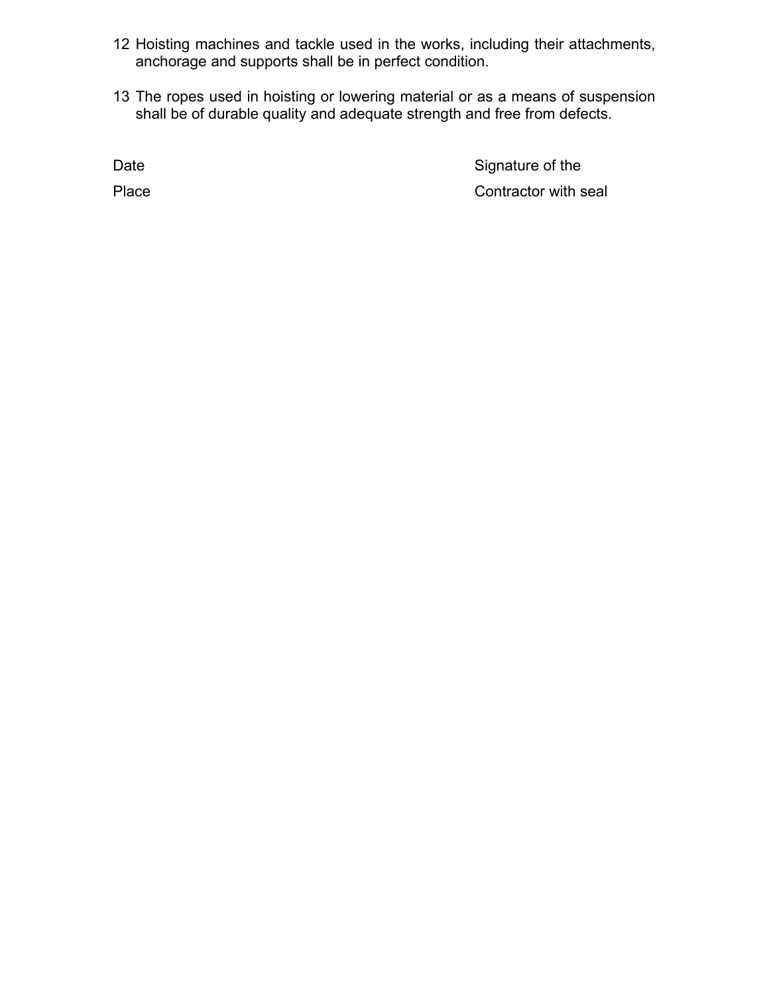- 12 Hoisting machines and tackle used in the works, including their attachments, anchorage and supports shall be in perfect condition.
- 13 The ropes used in hoisting or lowering material or as a means of suspension shall be of durable quality and adequate strength and free from defects.

Date

Signature of the Place **Contractor with seal**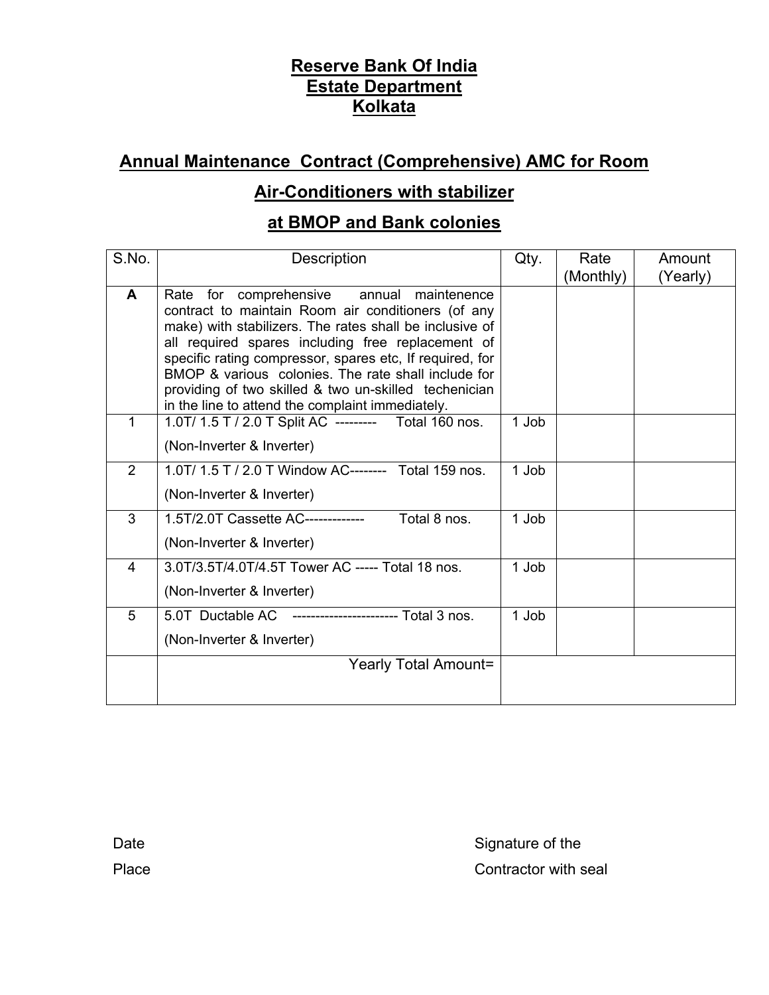## **Annual Maintenance Contract (Comprehensive) AMC for Room**

### **Air-Conditioners with stabilizer**

#### **at BMOP and Bank colonies**

| S.No. | <b>Description</b>                                                                                                                                                                                                                                                                                                                                                                                                                                 | Qty.  | Rate<br>(Monthly) | Amount<br>(Yearly) |
|-------|----------------------------------------------------------------------------------------------------------------------------------------------------------------------------------------------------------------------------------------------------------------------------------------------------------------------------------------------------------------------------------------------------------------------------------------------------|-------|-------------------|--------------------|
| A     | Rate for comprehensive<br>annual maintenence<br>contract to maintain Room air conditioners (of any<br>make) with stabilizers. The rates shall be inclusive of<br>all required spares including free replacement of<br>specific rating compressor, spares etc, If required, for<br>BMOP & various colonies. The rate shall include for<br>providing of two skilled & two un-skilled techenician<br>in the line to attend the complaint immediately. |       |                   |                    |
| 1     | 1.0T/ 1.5 T / 2.0 T Split AC --------- Total 160 nos.<br>(Non-Inverter & Inverter)                                                                                                                                                                                                                                                                                                                                                                 | 1 Job |                   |                    |
| 2     | 1.0T/ 1.5 T / 2.0 T Window AC-------- Total 159 nos.<br>(Non-Inverter & Inverter)                                                                                                                                                                                                                                                                                                                                                                  | 1 Job |                   |                    |
| 3     | 1.5T/2.0T Cassette AC-------------<br>Total 8 nos.<br>(Non-Inverter & Inverter)                                                                                                                                                                                                                                                                                                                                                                    | 1 Job |                   |                    |
| 4     | 3.0T/3.5T/4.0T/4.5T Tower AC ----- Total 18 nos.<br>(Non-Inverter & Inverter)                                                                                                                                                                                                                                                                                                                                                                      | 1 Job |                   |                    |
| 5     | 5.0T Ductable AC ----------------------- Total 3 nos.<br>(Non-Inverter & Inverter)                                                                                                                                                                                                                                                                                                                                                                 | 1 Job |                   |                    |
|       | <b>Yearly Total Amount=</b>                                                                                                                                                                                                                                                                                                                                                                                                                        |       |                   |                    |